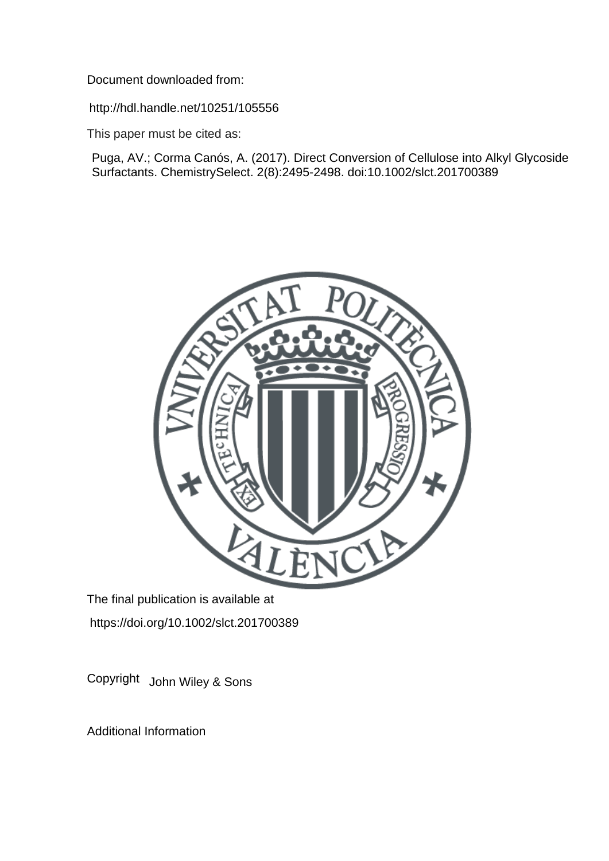Document downloaded from:

http://hdl.handle.net/10251/105556

This paper must be cited as:

Puga, AV.; Corma Canós, A. (2017). Direct Conversion of Cellulose into Alkyl Glycoside Surfactants. ChemistrySelect. 2(8):2495-2498. doi:10.1002/slct.201700389



The final publication is available at https://doi.org/10.1002/slct.201700389

Copyright John Wiley & Sons

Additional Information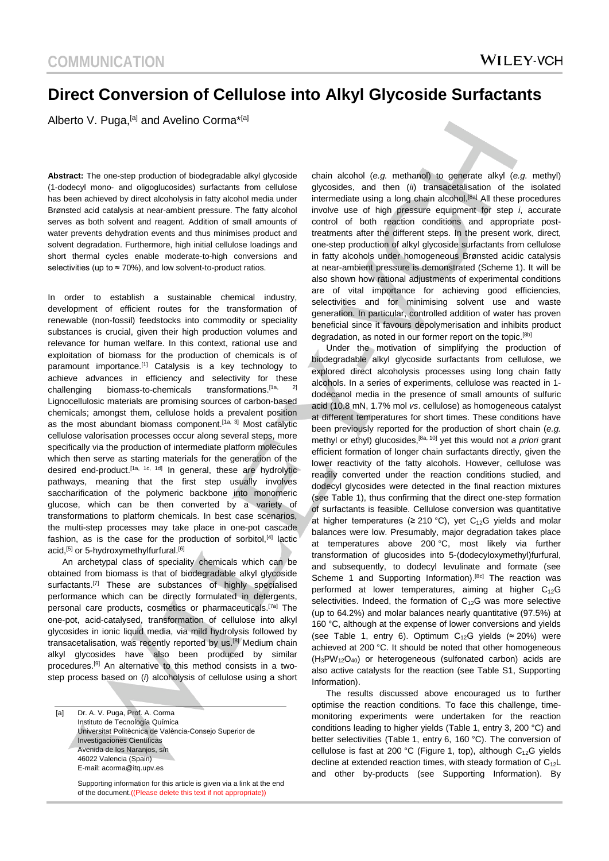# **Direct Conversion of Cellulose into Alkyl Glycoside Surfactants**

Alberto V. Puga,<sup>[a]</sup> and Avelino Corma<sup>\*[a]</sup>

**Abstract:** The one-step production of biodegradable alkyl glycoside (1-dodecyl mono- and oligoglucosides) surfactants from cellulose has been achieved by direct alcoholysis in fatty alcohol media under Brønsted acid catalysis at near-ambient pressure. The fatty alcohol serves as both solvent and reagent. Addition of small amounts of water prevents dehydration events and thus minimises product and solvent degradation. Furthermore, high initial cellulose loadings and short thermal cycles enable moderate-to-high conversions and selectivities (up to  $\approx$  70%), and low solvent-to-product ratios.

In order to establish a sustainable chemical industry, development of efficient routes for the transformation of renewable (non-fossil) feedstocks into commodity or speciality substances is crucial, given their high production volumes and relevance for human welfare. In this context, rational use and exploitation of biomass for the production of chemicals is of paramount importance.<sup>[1]</sup> Catalysis is a key technology to achieve advances in efficiency and selectivity for these challenging biomass-to-chemicals transformations.<sup>[1a, 2]</sup> Lignocellulosic materials are promising sources of carbon-based chemicals; amongst them, cellulose holds a prevalent position as the most abundant biomass component.<sup>[1a, 3]</sup> Most catalytic cellulose valorisation processes occur along several steps, more specifically via the production of intermediate platform molecules which then serve as starting materials for the generation of the desired end-product.<sup>[1a, 1c, 1d]</sup> In general, these are hydrolytic pathways, meaning that the first step usually involves saccharification of the polymeric backbone into monomeric glucose, which can be then converted by a variety of transformations to platform chemicals. In best case scenarios, the multi-step processes may take place in one-pot cascade fashion, as is the case for the production of sorbitol, $[4]$  lactic acid,<sup>[5]</sup> or 5-hydroxymethylfurfural.<sup>[6]</sup>

An archetypal class of speciality chemicals which can be obtained from biomass is that of biodegradable alkyl glycoside surfactants.<sup>[7]</sup> These are substances of highly specialised performance which can be directly formulated in detergents, personal care products, cosmetics or pharmaceuticals.<sup>[7a]</sup> The one-pot, acid-catalysed, transformation of cellulose into alkyl glycosides in ionic liquid media, via mild hydrolysis followed by transacetalisation, was recently reported by us.[8] Medium chain alkyl glycosides have also been produced by similar procedures.[9] An alternative to this method consists in a twostep process based on (*i*) alcoholysis of cellulose using a short

[a] Dr. A. V. Puga, Prof. A. Corma Instituto de Tecnología Química Universitat Politècnica de València-Consejo Superior de Investigaciones Científicas Avenida de los Naranjos, s/n 46022 Valencia (Spain) E-mail: acorma@itq.upv.es

> Supporting information for this article is given via a link at the end of the document.((Please delete this text if not appropriate))

chain alcohol (*e.g.* methanol) to generate alkyl (*e.g.* methyl) glycosides, and then (*ii*) transacetalisation of the isolated intermediate using a long chain alcohol.<sup>[8a]</sup> All these procedures involve use of high pressure equipment for step *i*, accurate control of both reaction conditions and appropriate posttreatments after the different steps. In the present work, direct, one-step production of alkyl glycoside surfactants from cellulose in fatty alcohols under homogeneous Brønsted acidic catalysis at near-ambient pressure is demonstrated (Scheme 1). It will be also shown how rational adjustments of experimental conditions are of vital importance for achieving good efficiencies, selectivities and for minimising solvent use and waste generation. In particular, controlled addition of water has proven beneficial since it favours depolymerisation and inhibits product degradation, as noted in our former report on the topic.<sup>[8b]</sup>

Under the motivation of simplifying the production of biodegradable alkyl glycoside surfactants from cellulose, we explored direct alcoholysis processes using long chain fatty alcohols. In a series of experiments, cellulose was reacted in 1 dodecanol media in the presence of small amounts of sulfuric acid (10.8 mN, 1.7% mol *vs*. cellulose) as homogeneous catalyst at different temperatures for short times. These conditions have been previously reported for the production of short chain (*e.g.* methyl or ethyl) glucosides,[8a, 10] yet this would not *a priori* grant efficient formation of longer chain surfactants directly, given the lower reactivity of the fatty alcohols. However, cellulose was readily converted under the reaction conditions studied, and dodecyl glycosides were detected in the final reaction mixtures (see Table 1), thus confirming that the direct one-step formation of surfactants is feasible. Cellulose conversion was quantitative at higher temperatures ( $\geq 210$  °C), yet C<sub>12</sub>G yields and molar balances were low. Presumably, major degradation takes place at temperatures above 200 °C, most likely via further transformation of glucosides into 5-(dodecyloxymethyl)furfural, and subsequently, to dodecyl levulinate and formate (see Scheme 1 and Supporting Information).<sup>[8c]</sup> The reaction was performed at lower temperatures, aiming at higher  $C_{12}G$ selectivities. Indeed, the formation of  $C_{12}G$  was more selective (up to 64.2%) and molar balances nearly quantitative (97.5%) at 160 °C, although at the expense of lower conversions and yields (see Table 1, entry 6). Optimum C<sub>12</sub>G yields ( $\approx$  20%) were achieved at 200 °C. It should be noted that other homogeneous  $(H_3PW_{12}O_{40})$  or heterogeneous (sulfonated carbon) acids are also active catalysts for the reaction (see Table S1, Supporting Information).

The results discussed above encouraged us to further optimise the reaction conditions. To face this challenge, timemonitoring experiments were undertaken for the reaction conditions leading to higher yields (Table 1, entry 3, 200 °C) and better selectivities (Table 1, entry 6, 160 °C). The conversion of cellulose is fast at 200 °C (Figure 1, top), although  $C_{12}G$  yields decline at extended reaction times, with steady formation of  $C_{12}L$ and other by-products (see Supporting Information). By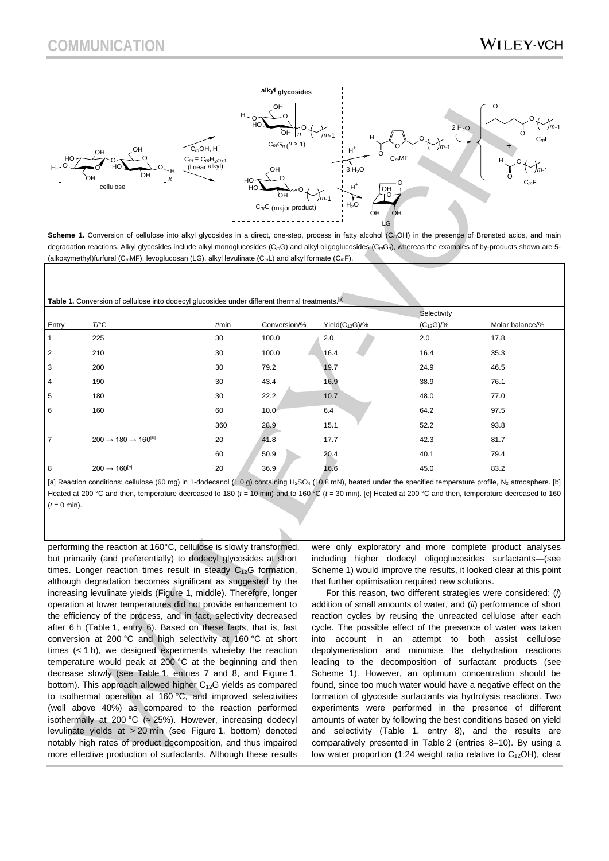

Scheme 1. Conversion of cellulose into alkyl glycosides in a direct, one-step, process in fatty alcohol (C<sub>m</sub>OH) in the presence of Brønsted acids, and main degradation reactions. Alkyl glycosides include alkyl monoglucosides (C*m*G) and alkyl oligoglucosides (C*m*G*n*), whereas the examples of by-products shown are 5- (alkoxymethyl)furfural (C*m*MF), levoglucosan (LG), alkyl levulinate (C*m*L) and alkyl formate (C*m*F).

|                | Table 1. Conversion of cellulose into dodecyl glucosides under different thermal treatments. <sup>[a]</sup> |          |              |                      | Selectivity    |                 |
|----------------|-------------------------------------------------------------------------------------------------------------|----------|--------------|----------------------|----------------|-----------------|
| Entry          | $T$ <sup>o</sup> $C$                                                                                        | $t$ /min | Conversion/% | Yield $(C_{12}G)/\%$ | $(C_{12}G)/\%$ | Molar balance/% |
|                | 225                                                                                                         | 30       | 100.0        | 2.0                  | 2.0            | 17.8            |
| $\overline{2}$ | 210                                                                                                         | 30       | 100.0        | 16.4                 | 16.4           | 35.3            |
| 3              | 200                                                                                                         | 30       | 79.2         | 19.7                 | 24.9           | 46.5            |
| 4              | 190                                                                                                         | 30       | 43.4         | 16.9                 | 38.9           | 76.1            |
| 5              | 180                                                                                                         | 30       | 22.2         | 10.7                 | 48.0           | 77.0            |
| 6              | 160                                                                                                         | 60       | 10.0         | 6.4                  | 64.2           | 97.5            |
|                |                                                                                                             | 360      | 28.9         | 15.1                 | 52.2           | 93.8            |
| $\overline{7}$ | $200 \rightarrow 180 \rightarrow 160^{[b]}$                                                                 | 20       | 41.8         | 17.7                 | 42.3           | 81.7            |
|                |                                                                                                             | 60       | 50.9         | 20.4                 | 40.1           | 79.4            |
| 8              | $200 \rightarrow 160^{[c]}$                                                                                 | 20       | 36.9         | 16.6                 | 45.0           | 83.2            |

[a] Reaction conditions: cellulose (60 mg) in 1-dodecanol (1.0 g) containing H<sub>2</sub>SO<sub>4</sub> (10.8 mN), heated under the specified temperature profile, N<sub>2</sub> atmosphere. [b] Heated at 200 °C and then, temperature decreased to 180 ( $t = 10$  min) and to 160 °C ( $t = 30$  min). [c] Heated at 200 °C and then, temperature decreased to 160  $(t = 0$  min).

performing the reaction at 160°C, cellulose is slowly transformed, but primarily (and preferentially) to dodecyl glycosides at short times. Longer reaction times result in steady  $C_{12}G$  formation, although degradation becomes significant as suggested by the increasing levulinate yields (Figure 1, middle). Therefore, longer operation at lower temperatures did not provide enhancement to the efficiency of the process, and in fact, selectivity decreased after 6 h (Table 1, entry 6). Based on these facts, that is, fast conversion at 200 °C and high selectivity at 160 °C at short times (< 1 h), we designed experiments whereby the reaction temperature would peak at 200 °C at the beginning and then decrease slowly (see Table 1, entries 7 and 8, and Figure 1, bottom). This approach allowed higher  $C_{12}G$  yields as compared to isothermal operation at 160 °C, and improved selectivities (well above 40%) as compared to the reaction performed isothermally at 200 °C ( $\approx$  25%). However, increasing dodecyl levulinate yields at > 20 min (see Figure 1, bottom) denoted notably high rates of product decomposition, and thus impaired more effective production of surfactants. Although these results

were only exploratory and more complete product analyses including higher dodecyl oligoglucosides surfactants—(see Scheme 1) would improve the results, it looked clear at this point that further optimisation required new solutions.

For this reason, two different strategies were considered: (*i*) addition of small amounts of water, and (*ii*) performance of short reaction cycles by reusing the unreacted cellulose after each cycle. The possible effect of the presence of water was taken into account in an attempt to both assist cellulose depolymerisation and minimise the dehydration reactions leading to the decomposition of surfactant products (see Scheme 1). However, an optimum concentration should be found, since too much water would have a negative effect on the formation of glycoside surfactants via hydrolysis reactions. Two experiments were performed in the presence of different amounts of water by following the best conditions based on yield and selectivity (Table 1, entry 8), and the results are comparatively presented in Table 2 (entries 8–10). By using a low water proportion (1:24 weight ratio relative to  $C_{12}OH$ ), clear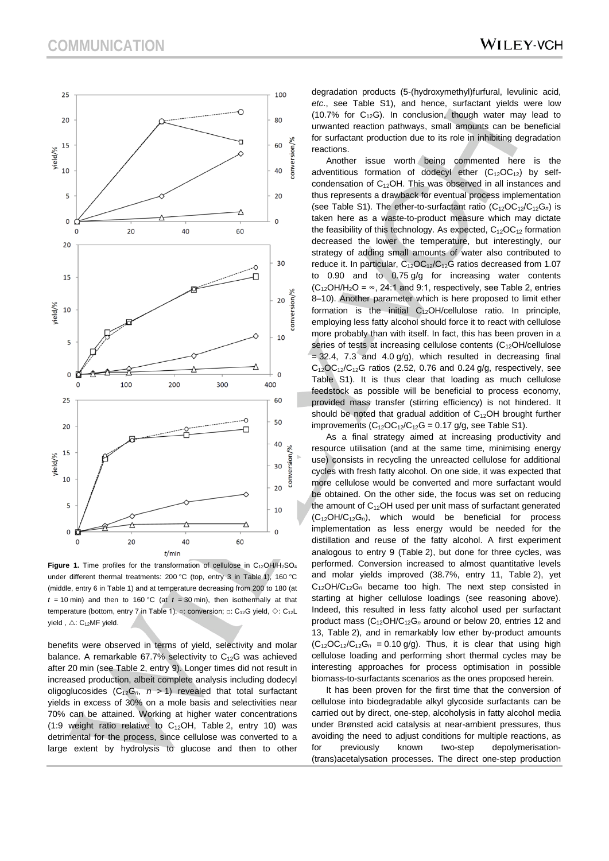$25$ 

 $20$ 

15 yield/%  $10$ 

5

 $\mathbf 0$ 

15

5

 $\overline{0}$ 

25

 $20$ 

15 vield/%

10

5

 $\mathbf 0$ 

 $\Omega$ 

 $\Omega$ 

yield/% 10

 $\Omega$  $20$ 



50

40

30

20

10

 $\overline{0}$ 

∆

60

conversion/%

Figure 1. Time profiles for the transformation of cellulose in C<sub>12</sub>OH/H<sub>2</sub>SO<sub>4</sub> under different thermal treatments: 200 °C (top, entry 3 in Table 1), 160 °C (middle, entry 6 in Table 1) and at temperature decreasing from 200 to 180 (at  $t = 10$  min) and then to 160 °C (at  $t = 30$  min), then isothermally at that temperature (bottom, entry 7 in Table 1).  $\circ$ : conversion;  $\Box$ : C<sub>12</sub>G yield,  $\Diamond$ : C<sub>12</sub>L yield,  $\triangle$ : C<sub>12</sub>MF yield.

 $t/min$ 

40

∆

20

benefits were observed in terms of yield, selectivity and molar balance. A remarkable 67.7% selectivity to  $C_{12}G$  was achieved after 20 min (see Table 2, entry 9). Longer times did not result in increased production, albeit complete analysis including dodecyl oligoglucosides  $(C_{12}G_n, n > 1)$  revealed that total surfactant yields in excess of 30% on a mole basis and selectivities near 70% can be attained. Working at higher water concentrations (1:9 weight ratio relative to  $C_{12}OH$ , Table 2, entry 10) was detrimental for the process, since cellulose was converted to a large extent by hydrolysis to glucose and then to other degradation products (5-(hydroxymethyl)furfural, levulinic acid, *etc*., see Table S1), and hence, surfactant yields were low (10.7% for  $C_{12}$ G). In conclusion, though water may lead to unwanted reaction pathways, small amounts can be beneficial

Another issue worth being commented here is the adventitious formation of dodecyl ether  $(C_{12}OC_{12})$  by selfcondensation of  $C_{12}OH$ . This was observed in all instances and thus represents a drawback for eventual process implementation (see Table S1). The ether-to-surfactant ratio (C<sub>12</sub>OC<sub>12</sub>/C<sub>12</sub>G<sub>n</sub>) is taken here as a waste-to-product measure which may dictate the feasibility of this technology. As expected,  $C_{12}OC_{12}$  formation decreased the lower the temperature, but interestingly, our strategy of adding small amounts of water also contributed to reduce it. In particular, C12OC12/C12G ratios decreased from 1.07 to 0.90 and to 0.75 g/g for increasing water contents  $(C_{12}OH/H_2O = \infty$ , 24:1 and 9:1, respectively, see Table 2, entries 8–10). Another parameter which is here proposed to limit ether formation is the initial C12OH/cellulose ratio. In principle, employing less fatty alcohol should force it to react with cellulose more probably than with itself. In fact, this has been proven in a series of tests at increasing cellulose contents (C<sub>12</sub>OH/cellulose  $= 32.4$ , 7.3 and 4.0 g/g), which resulted in decreasing final  $C_{12}OC_{12}/C_{12}G$  ratios (2.52, 0.76 and 0.24 g/g, respectively, see Table S1). It is thus clear that loading as much cellulose feedstock as possible will be beneficial to process economy, provided mass transfer (stirring efficiency) is not hindered. It should be noted that gradual addition of  $C_{12}OH$  brought further improvements  $(C_{12}OC_{12}/C_{12}G = 0.17$  g/g, see Table S1).

As a final strategy aimed at increasing productivity and resource utilisation (and at the same time, minimising energy use) consists in recycling the unreacted cellulose for additional cycles with fresh fatty alcohol. On one side, it was expected that more cellulose would be converted and more surfactant would be obtained. On the other side, the focus was set on reducing the amount of C12OH used per unit mass of surfactant generated (C12OH/C12G*n*), which would be beneficial for process implementation as less energy would be needed for the distillation and reuse of the fatty alcohol. A first experiment analogous to entry 9 (Table 2), but done for three cycles, was performed. Conversion increased to almost quantitative levels and molar yields improved (38.7%, entry 11, Table 2), yet C12OH/C12G*<sup>n</sup>* became too high. The next step consisted in starting at higher cellulose loadings (see reasoning above). Indeed, this resulted in less fatty alcohol used per surfactant product mass (C12OH/C12G*<sup>n</sup>* around or below 20, entries 12 and 13, Table 2), and in remarkably low ether by-product amounts  $(C_{12}OC_{12}/C_{12}G_n = 0.10$  g/g). Thus, it is clear that using high cellulose loading and performing short thermal cycles may be interesting approaches for process optimisation in possible biomass-to-surfactants scenarios as the ones proposed herein.

It has been proven for the first time that the conversion of cellulose into biodegradable alkyl glycoside surfactants can be carried out by direct, one-step, alcoholysis in fatty alcohol media under Brønsted acid catalysis at near-ambient pressures, thus avoiding the need to adjust conditions for multiple reactions, as for previously known two-step depolymerisation- (trans)acetalysation processes. The direct one-step production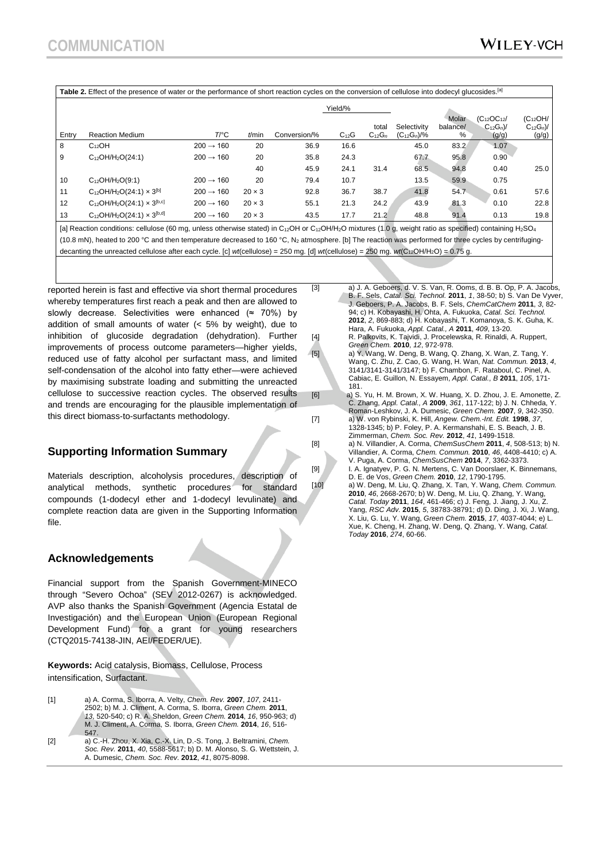| Table 2. Effect of the presence of water or the performance of short reaction cycles on the conversion of cellulose into dodecyl glucosides. [a]                                                                       |                                        |                       |               |              |           |                      |                                 |                        |                                              |                                        |  |  |  |
|------------------------------------------------------------------------------------------------------------------------------------------------------------------------------------------------------------------------|----------------------------------------|-----------------------|---------------|--------------|-----------|----------------------|---------------------------------|------------------------|----------------------------------------------|----------------------------------------|--|--|--|
|                                                                                                                                                                                                                        |                                        |                       |               |              | Yield/%   |                      |                                 |                        |                                              |                                        |  |  |  |
| Entry                                                                                                                                                                                                                  | <b>Reaction Medium</b>                 | T/°C                  | $t$ /min      | Conversion/% | $C_{12}G$ | total<br>$C_{12}G_n$ | Selectivity<br>$(C_{12}G_n)/\%$ | Molar<br>balance/<br>% | $(C_{12}OC_{12}/$<br>$C_{12}G_n$ )/<br>(g/g) | $(C_{12}OH/$<br>$C_{12}G_n$ /<br>(g/g) |  |  |  |
| 8                                                                                                                                                                                                                      | $C_{12}OH$                             | $200 \rightarrow 160$ | 20            | 36.9         | 16.6      |                      | 45.0                            | 83.2                   | 1.07                                         |                                        |  |  |  |
| 9                                                                                                                                                                                                                      | $C_{12}OH/H_{2}O(24:1)$                | $200 \rightarrow 160$ | 20            | 35.8         | 24.3      |                      | 67.7                            | 95.8                   | 0.90                                         |                                        |  |  |  |
|                                                                                                                                                                                                                        |                                        |                       | 40            | 45.9         | 24.1      | 31.4                 | 68.5                            | 94.8                   | 0.40                                         | 25.0                                   |  |  |  |
| 10                                                                                                                                                                                                                     | $C_{12}OH/H_2O(9:1)$                   | $200 \rightarrow 160$ | 20            | 79.4         | 10.7      |                      | 13.5                            | 59.9                   | 0.75                                         |                                        |  |  |  |
| 11                                                                                                                                                                                                                     | $C_{12}OH/H_2O(24:1) \times 3^{[b]}$   | $200 \rightarrow 160$ | $20 \times 3$ | 92.8         | 36.7      | 38.7                 | 41.8                            | 54.7                   | 0.61                                         | 57.6                                   |  |  |  |
| 12                                                                                                                                                                                                                     | $C_{12}OH/H_2O(24:1) \times 3^{[b,c]}$ | $200 \rightarrow 160$ | $20 \times 3$ | 55.1         | 21.3      | 24.2                 | 43.9                            | 81.3                   | 0.10                                         | 22.8                                   |  |  |  |
| 13                                                                                                                                                                                                                     | $C_{12}OH/H_2O(24:1) \times 3^{[b,d]}$ | $200 \rightarrow 160$ | $20 \times 3$ | 43.5         | 17.7      | 21.2                 | 48.8                            | 91.4                   | 0.13                                         | 19.8                                   |  |  |  |
| [a] Reaction conditions: cellulose (60 mg, unless otherwise stated) in C <sub>12</sub> OH or C <sub>12</sub> OH/H <sub>2</sub> O mixtures (1.0 g, weight ratio as specified) containing H <sub>2</sub> SO <sub>4</sub> |                                        |                       |               |              |           |                      |                                 |                        |                                              |                                        |  |  |  |

(10.8 mN), heated to 200 °C and then temperature decreased to 160 °C, N<sub>2</sub> atmosphere. [b] The reaction was performed for three cycles by centrifugingdecanting the unreacted cellulose after each cycle. [c] *wt*(cellulose) = 250 mg. [d] *wt*(cellulose) = 250 mg. *wt*(C12OH/H2O) = 0.75 g.

reported herein is fast and effective via short thermal procedures whereby temperatures first reach a peak and then are allowed to slowly decrease. Selectivities were enhanced ( $\approx$  70%) by addition of small amounts of water (< 5% by weight), due to inhibition of glucoside degradation (dehydration). Further improvements of process outcome parameters—higher yields, reduced use of fatty alcohol per surfactant mass, and limited self-condensation of the alcohol into fatty ether—were achieved by maximising substrate loading and submitting the unreacted cellulose to successive reaction cycles. The observed results and trends are encouraging for the plausible implementation of this direct biomass-to-surfactants methodology.

## **Supporting Information Summary**

Materials description, alcoholysis procedures, description of analytical methods, synthetic procedures for standard compounds (1-dodecyl ether and 1-dodecyl levulinate) and complete reaction data are given in the Supporting Information file.

#### **Acknowledgements**

Financial support from the Spanish Government-MINECO through "Severo Ochoa" (SEV 2012-0267) is acknowledged. AVP also thanks the Spanish Government (Agencia Estatal de Investigación) and the European Union (European Regional Development Fund) for a grant for young researchers (CTQ2015-74138-JIN, AEI/FEDER/UE).

**Keywords:** Acid catalysis, Biomass, Cellulose, Process intensification, Surfactant.

- [1] a) A. Corma, S. Iborra, A. Velty, *Chem. Rev.* **2007**, *107*, 2411- 2502; b) M. J. Climent, A. Corma, S. Iborra, *Green Chem.* **2011**, *13*, 520-540; c) R. A. Sheldon, *Green Chem.* **2014**, *16*, 950-963; d) M. J. Climent, A. Corma, S. Iborra, *Green Chem.* **2014**, *16*, 516- 547.
- [2] a) C.-H. Zhou, X. Xia, C.-X. Lin, D.-S. Tong, J. Beltramini, *Chem. Soc. Rev.* **2011**, *40*, 5588-5617; b) D. M. Alonso, S. G. Wettstein, J. A. Dumesic, *Chem. Soc. Rev.* **2012**, *41*, 8075-8098.

[3] a) J. A. Geboers, d. V. S. Van, R. Ooms, d. B. B. Op, P. A. Jacobs, B. F. Sels, *Catal. Sci. Technol.* **2011**, *1*, 38-50; b) S. Van De Vyver, J. Geboers, P. A. Jacobs, B. F. Sels, *ChemCatChem* **2011**, *3*, 82- 94; c) H. Kobayashi, H. Ohta, A. Fukuoka, *Catal. Sci. Technol.*  **2012**, *2*, 869-883; d) H. Kobayashi, T. Komanoya, S. K. Guha, K. Hara, A. Fukuoka, *Appl. Catal., A* **2011**, *409*, 13-20. [4] R. Palkovits, K. Tajvidi, J. Procelewska, R. Rinaldi, A. Ruppert,

*Green Chem.* **2010**, *12*, 972-978. [5] a) Y. Wang, W. Deng, B. Wang, Q. Zhang, X. Wan, Z. Tang, Y. Wang, C. Zhu, Z. Cao, G. Wang, H. Wan, *Nat. Commun.* **2013**, *4*, 3141/3141-3141/3147; b) F. Chambon, F. Rataboul, C. Pinel, A. Cabiac, E. Guillon, N. Essayem, *Appl. Catal., B* **2011**, *105*, 171- 181.

[6] a) S. Yu, H. M. Brown, X. W. Huang, X. D. Zhou, J. E. Amonette, Z. C. Zhang, *Appl. Catal., A* **2009**, *361*, 117-122; b) J. N. Chheda, Y. Roman-Leshkov, J. A. Dumesic, *Green Chem.* **2007**, *9*, 342-350. [7] a) W. von Rybinski, K. Hill, *Angew. Chem.-Int. Edit.* **1998**, *37*,

- 1328-1345; b) P. Foley, P. A. Kermanshahi, E. S. Beach, J. B. Zimmerman, *Chem. Soc. Rev.* **2012**, *41*, 1499-1518. [8] a) N. Villandier, A. Corma, *ChemSusChem* **2011**, *4*, 508-513; b) N. Villandier, A. Corma, *Chem. Commun.* **2010**, *46*, 4408-4410; c) A. V. Puga, A. Corma, *ChemSusChem* **2014**, *7*, 3362-3373. [9] I. A. Ignatyev, P. G. N. Mertens, C. Van Doorslaer, K. Binnemans, D. E. de Vos, *Green Chem.* **2010**, *12*, 1790-1795.
- [10] a) W. Deng, M. Liu, Q. Zhang, X. Tan, Y. Wang, *Chem. Commun.*  **2010**, *46*, 2668-2670; b) W. Deng, M. Liu, Q. Zhang, Y. Wang, *Catal. Today* **2011**, *164*, 461-466; c) J. Feng, J. Jiang, J. Xu, Z. Yang, *RSC Adv.* **2015**, *5*, 38783-38791; d) D. Ding, J. Xi, J. Wang, X. Liu, G. Lu, Y. Wang, *Green Chem.* **2015**, *17*, 4037-4044; e) L. Xue, K. Cheng, H. Zhang, W. Deng, Q. Zhang, Y. Wang, *Catal. Today* **2016**, *274*, 60-66.